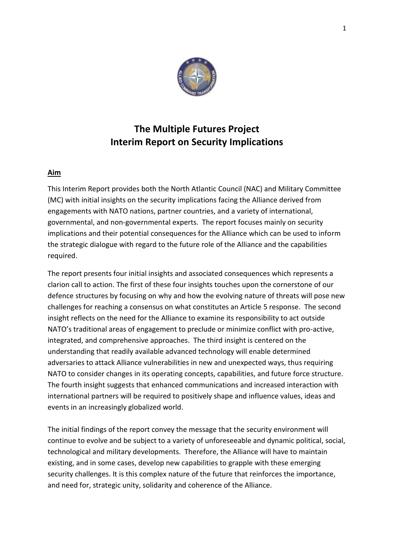

# **The Multiple Futures Project Interim Report on Security Implications**

## **Aim**

This Interim Report provides both the North Atlantic Council (NAC) and Military Committee (MC) with initial insights on the security implications facing the Alliance derived from engagements with NATO nations, partner countries, and a variety of international, governmental, and non-governmental experts. The report focuses mainly on security implications and their potential consequences for the Alliance which can be used to inform the strategic dialogue with regard to the future role of the Alliance and the capabilities required.

The report presents four initial insights and associated consequences which represents a clarion call to action. The first of these four insights touches upon the cornerstone of our defence structures by focusing on why and how the evolving nature of threats will pose new challenges for reaching a consensus on what constitutes an Article 5 response. The second insight reflects on the need for the Alliance to examine its responsibility to act outside NATO's traditional areas of engagement to preclude or minimize conflict with pro-active, integrated, and comprehensive approaches. The third insight is centered on the understanding that readily available advanced technology will enable determined adversaries to attack Alliance vulnerabilities in new and unexpected ways, thus requiring NATO to consider changes in its operating concepts, capabilities, and future force structure. The fourth insight suggests that enhanced communications and increased interaction with international partners will be required to positively shape and influence values, ideas and events in an increasingly globalized world.

The initial findings of the report convey the message that the security environment will continue to evolve and be subject to a variety of unforeseeable and dynamic political, social, technological and military developments. Therefore, the Alliance will have to maintain existing, and in some cases, develop new capabilities to grapple with these emerging security challenges. It is this complex nature of the future that reinforces the importance, and need for, strategic unity, solidarity and coherence of the Alliance.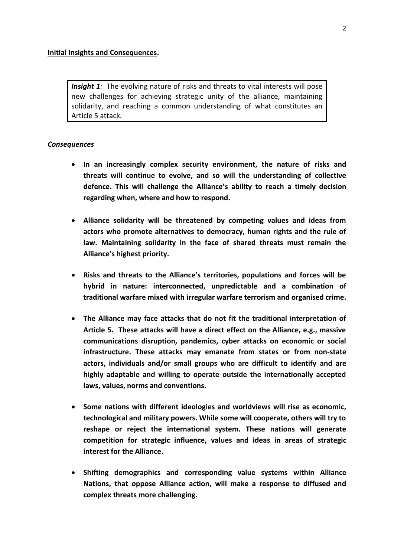*Insight 1:* The evolving nature of risks and threats to vital interests will pose new challenges for achieving strategic unity of the alliance, maintaining solidarity, and reaching a common understanding of what constitutes an Article 5 attack.

- **In an increasingly complex security environment, the nature of risks and threats will continue to evolve, and so will the understanding of collective defence. This will challenge the Alliance's ability to reach a timely decision regarding when, where and how to respond.**
- **Alliance solidarity will be threatened by competing values and ideas from actors who promote alternatives to democracy, human rights and the rule of law. Maintaining solidarity in the face of shared threats must remain the Alliance's highest priority.**
- **Risks and threats to the Alliance's territories, populations and forces will be hybrid in nature: interconnected, unpredictable and a combination of traditional warfare mixed with irregular warfare terrorism and organised crime.**
- **The Alliance may face attacks that do not fit the traditional interpretation of Article 5. These attacks will have a direct effect on the Alliance, e.g., massive communications disruption, pandemics, cyber attacks on economic or social infrastructure. These attacks may emanate from states or from non-state actors, individuals and/or small groups who are difficult to identify and are highly adaptable and willing to operate outside the internationally accepted laws, values, norms and conventions.**
- **Some nations with different ideologies and worldviews will rise as economic, technological and military powers. While some will cooperate, others will try to reshape or reject the international system. These nations will generate competition for strategic influence, values and ideas in areas of strategic interest for the Alliance.**
- **Shifting demographics and corresponding value systems within Alliance Nations, that oppose Alliance action, will make a response to diffused and complex threats more challenging.**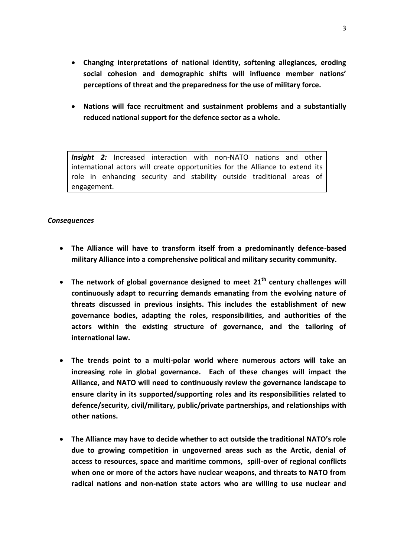- **Changing interpretations of national identity, softening allegiances, eroding social cohesion and demographic shifts will influence member nations' perceptions of threat and the preparedness for the use of military force.**
- **Nations will face recruitment and sustainment problems and a substantially reduced national support for the defence sector as a whole.**

*Insight 2:* Increased interaction with non-NATO nations and other international actors will create opportunities for the Alliance to extend its role in enhancing security and stability outside traditional areas of engagement.

- **The Alliance will have to transform itself from a predominantly defence-based military Alliance into a comprehensive political and military security community.**
- **The network of global governance designed to meet 21th century challenges will continuously adapt to recurring demands emanating from the evolving nature of threats discussed in previous insights. This includes the establishment of new governance bodies, adapting the roles, responsibilities, and authorities of the actors within the existing structure of governance, and the tailoring of international law.**
- **The trends point to a multi-polar world where numerous actors will take an increasing role in global governance. Each of these changes will impact the Alliance, and NATO will need to continuously review the governance landscape to ensure clarity in its supported/supporting roles and its responsibilities related to defence/security, civil/military, public/private partnerships, and relationships with other nations.**
- **The Alliance may have to decide whether to act outside the traditional NATO's role due to growing competition in ungoverned areas such as the Arctic, denial of access to resources, space and maritime commons, spill-over of regional conflicts when one or more of the actors have nuclear weapons, and threats to NATO from radical nations and non-nation state actors who are willing to use nuclear and**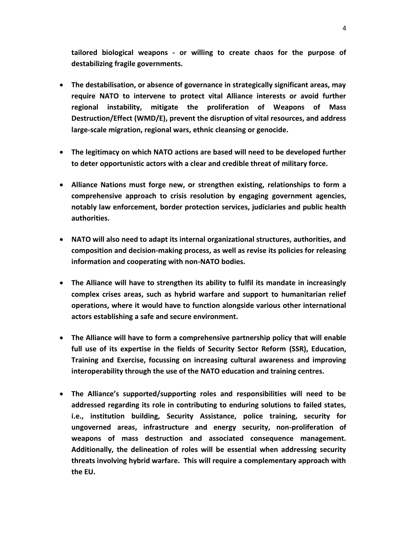**tailored biological weapons - or willing to create chaos for the purpose of destabilizing fragile governments.**

- **The destabilisation, or absence of governance in strategically significant areas, may require NATO to intervene to protect vital Alliance interests or avoid further regional instability, mitigate the proliferation of Weapons of Mass Destruction/Effect (WMD/E), prevent the disruption of vital resources, and address large-scale migration, regional wars, ethnic cleansing or genocide.**
- **The legitimacy on which NATO actions are based will need to be developed further to deter opportunistic actors with a clear and credible threat of military force.**
- **Alliance Nations must forge new, or strengthen existing, relationships to form a comprehensive approach to crisis resolution by engaging government agencies, notably law enforcement, border protection services, judiciaries and public health authorities.**
- **NATO will also need to adapt its internal organizational structures, authorities, and composition and decision-making process, as well as revise its policies for releasing information and cooperating with non-NATO bodies.**
- **The Alliance will have to strengthen its ability to fulfil its mandate in increasingly complex crises areas, such as hybrid warfare and support to humanitarian relief operations, where it would have to function alongside various other international actors establishing a safe and secure environment.**
- **The Alliance will have to form a comprehensive partnership policy that will enable full use of its expertise in the fields of Security Sector Reform (SSR), Education, Training and Exercise, focussing on increasing cultural awareness and improving interoperability through the use of the NATO education and training centres.**
- **The Alliance's supported/supporting roles and responsibilities will need to be addressed regarding its role in contributing to enduring solutions to failed states, i.e., institution building, Security Assistance, police training, security for ungoverned areas, infrastructure and energy security, non-proliferation of weapons of mass destruction and associated consequence management. Additionally, the delineation of roles will be essential when addressing security threats involving hybrid warfare. This will require a complementary approach with the EU.**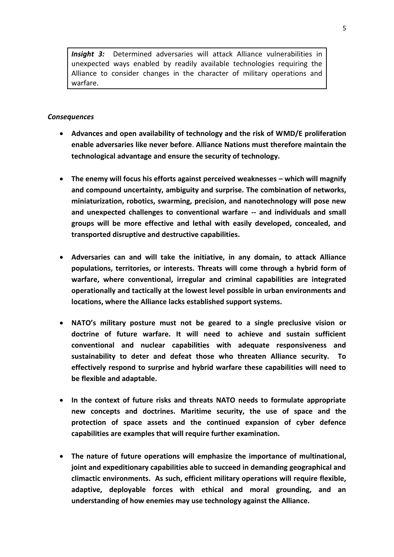*Insight 3:* Determined adversaries will attack Alliance vulnerabilities in unexpected ways enabled by readily available technologies requiring the Alliance to consider changes in the character of military operations and warfare.

- **Advances and open availability of technology and the risk of WMD/E proliferation enable adversaries like never before**. **Alliance Nations must therefore maintain the technological advantage and ensure the security of technology.**
- **•** The enemy will focus his efforts against perceived weaknesses which will magnify **and compound uncertainty, ambiguity and surprise. The combination of networks, miniaturization, robotics, swarming, precision, and nanotechnology will pose new and unexpected challenges to conventional warfare -- and individuals and small groups will be more effective and lethal with easily developed, concealed, and transported disruptive and destructive capabilities.**
- **Adversaries can and will take the initiative, in any domain, to attack Alliance populations, territories, or interests. Threats will come through a hybrid form of warfare, where conventional, irregular and criminal capabilities are integrated operationally and tactically at the lowest level possible in urban environments and locations, where the Alliance lacks established support systems.**
- **NATO's military posture must not be geared to a single preclusive vision or doctrine of future warfare. It will need to achieve and sustain sufficient conventional and nuclear capabilities with adequate responsiveness and sustainability to deter and defeat those who threaten Alliance security. To effectively respond to surprise and hybrid warfare these capabilities will need to be flexible and adaptable.**
- **In the context of future risks and threats NATO needs to formulate appropriate new concepts and doctrines. Maritime security, the use of space and the protection of space assets and the continued expansion of cyber defence capabilities are examples that will require further examination.**
- **The nature of future operations will emphasize the importance of multinational, joint and expeditionary capabilities able to succeed in demanding geographical and climactic environments. As such, efficient military operations will require flexible, adaptive, deployable forces with ethical and moral grounding, and an understanding of how enemies may use technology against the Alliance.**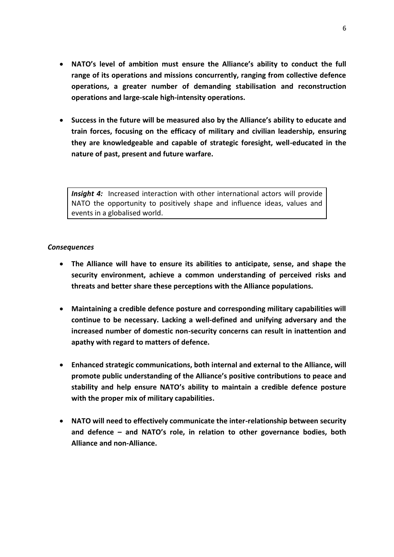- **NATO's level of ambition must ensure the Alliance's ability to conduct the full range of its operations and missions concurrently, ranging from collective defence operations, a greater number of demanding stabilisation and reconstruction operations and large-scale high-intensity operations.**
- **Success in the future will be measured also by the Alliance's ability to educate and train forces, focusing on the efficacy of military and civilian leadership, ensuring they are knowledgeable and capable of strategic foresight, well-educated in the nature of past, present and future warfare.**

**Insight 4:** Increased interaction with other international actors will provide NATO the opportunity to positively shape and influence ideas, values and events in a globalised world.

- **The Alliance will have to ensure its abilities to anticipate, sense, and shape the security environment, achieve a common understanding of perceived risks and threats and better share these perceptions with the Alliance populations.**
- **Maintaining a credible defence posture and corresponding military capabilities will continue to be necessary. Lacking a well-defined and unifying adversary and the increased number of domestic non-security concerns can result in inattention and apathy with regard to matters of defence.**
- **Enhanced strategic communications, both internal and external to the Alliance, will promote public understanding of the Alliance's positive contributions to peace and stability and help ensure NATO's ability to maintain a credible defence posture with the proper mix of military capabilities.**
- **NATO will need to effectively communicate the inter-relationship between security and defence – and NATO's role, in relation to other governance bodies, both Alliance and non-Alliance.**